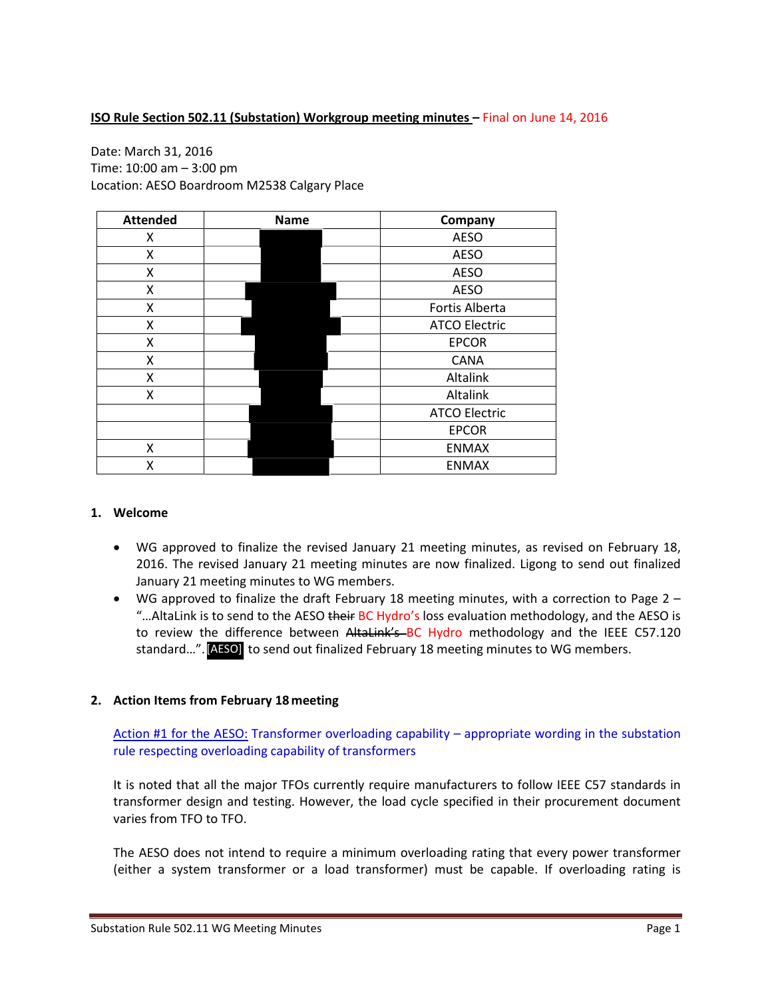# **ISO Rule Section 502.11 (Substation) Workgroup meeting minutes - Final on June 14, 2016**

# Date: March 31, 2016 Time: 10:00 am – 3:00 pm Location: AESO Boardroom M2538 Calgary Place

| <b>Attended</b> | <b>Name</b> |  |  | Company              |
|-----------------|-------------|--|--|----------------------|
| Χ               |             |  |  | <b>AESO</b>          |
| X               |             |  |  | <b>AESO</b>          |
| X               |             |  |  | <b>AESO</b>          |
| X               |             |  |  | <b>AESO</b>          |
| X               |             |  |  | Fortis Alberta       |
| X               |             |  |  | <b>ATCO Electric</b> |
| X               |             |  |  | <b>EPCOR</b>         |
| X               |             |  |  | <b>CANA</b>          |
| X               |             |  |  | Altalink             |
| X               |             |  |  | Altalink             |
|                 |             |  |  | <b>ATCO Electric</b> |
|                 |             |  |  | <b>EPCOR</b>         |
| Χ               |             |  |  | <b>ENMAX</b>         |
| Χ               |             |  |  | <b>ENMAX</b>         |

### **1. Welcome**

- WG approved to finalize the revised January 21 meeting minutes, as revised on February 18, 2016. The revised January 21 meeting minutes are now finalized. Ligong to send out finalized January 21 meeting minutes to WG members.
- WG approved to finalize the draft February 18 meeting minutes, with a correction to Page 2 "... AltaLink is to send to the AESO their BC Hydro's loss evaluation methodology, and the AESO is to review the difference between AltaLink's BC Hydro methodology and the IEEE C57.120 standard...". [AESO] to send out finalized February 18 meeting minutes to WG members.

#### **2. Action Items from February 18 meeting**

Action #1 for the AESO: Transformer overloading capability – appropriate wording in the substation rule respecting overloading capability of transformers

It is noted that all the major TFOs currently require manufacturers to follow IEEE C57 standards in transformer design and testing. However, the load cycle specified in their procurement document varies from TFO to TFO.

The AESO does not intend to require a minimum overloading rating that every power transformer (either a system transformer or a load transformer) must be capable. If overloading rating is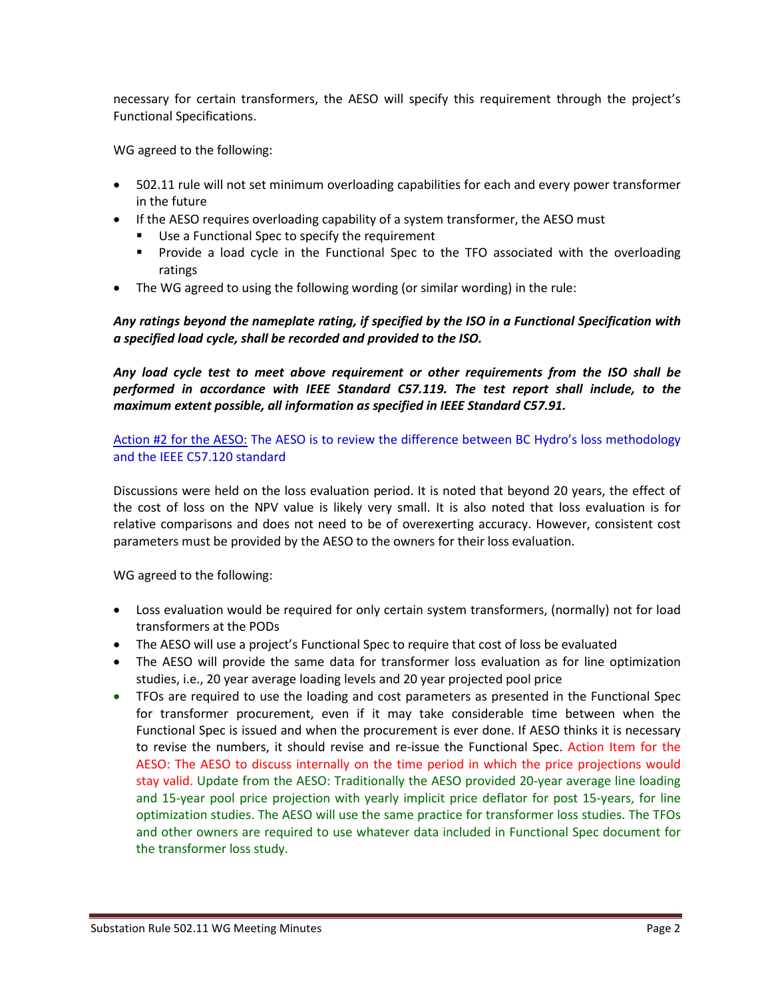necessary for certain transformers, the AESO will specify this requirement through the project's Functional Specifications.

WG agreed to the following:

- 502.11 rule will not set minimum overloading capabilities for each and every power transformer in the future
- If the AESO requires overloading capability of a system transformer, the AESO must
	- Use a Functional Spec to specify the requirement
	- **Provide a load cycle in the Functional Spec to the TFO associated with the overloading** ratings
- The WG agreed to using the following wording (or similar wording) in the rule:

*Any ratings beyond the nameplate rating, if specified by the ISO in a Functional Specification with a specified load cycle, shall be recorded and provided to the ISO.*

*Any load cycle test to meet above requirement or other requirements from the ISO shall be performed in accordance with IEEE Standard C57.119. The test report shall include, to the maximum extent possible, all information as specified in IEEE Standard C57.91.*

Action #2 for the AESO: The AESO is to review the difference between BC Hydro's loss methodology and the IEEE C57.120 standard

Discussions were held on the loss evaluation period. It is noted that beyond 20 years, the effect of the cost of loss on the NPV value is likely very small. It is also noted that loss evaluation is for relative comparisons and does not need to be of overexerting accuracy. However, consistent cost parameters must be provided by the AESO to the owners for their loss evaluation.

WG agreed to the following:

- Loss evaluation would be required for only certain system transformers, (normally) not for load transformers at the PODs
- The AESO will use a project's Functional Spec to require that cost of loss be evaluated
- The AESO will provide the same data for transformer loss evaluation as for line optimization studies, i.e., 20 year average loading levels and 20 year projected pool price
- TFOs are required to use the loading and cost parameters as presented in the Functional Spec for transformer procurement, even if it may take considerable time between when the Functional Spec is issued and when the procurement is ever done. If AESO thinks it is necessary to revise the numbers, it should revise and re-issue the Functional Spec. Action Item for the AESO: The AESO to discuss internally on the time period in which the price projections would stay valid. Update from the AESO: Traditionally the AESO provided 20-year average line loading and 15-year pool price projection with yearly implicit price deflator for post 15-years, for line optimization studies. The AESO will use the same practice for transformer loss studies. The TFOs and other owners are required to use whatever data included in Functional Spec document for the transformer loss study.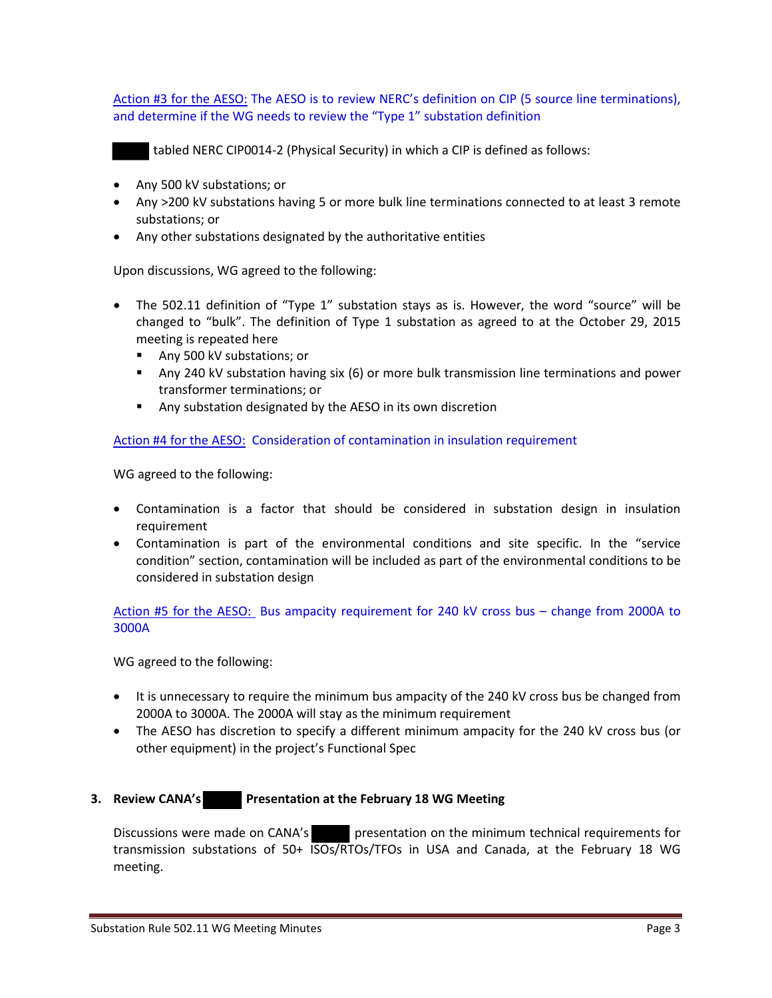Action #3 for the AESO: The AESO is to review NERC's definition on CIP (5 source line terminations), and determine if the WG needs to review the "Type 1" substation definition

tabled NERC CIP0014-2 (Physical Security) in which a CIP is defined as follows:

- Any 500 kV substations; or
- Any >200 kV substations having 5 or more bulk line terminations connected to at least 3 remote substations; or
- Any other substations designated by the authoritative entities

Upon discussions, WG agreed to the following:

- The 502.11 definition of "Type 1" substation stays as is. However, the word "source" will be changed to "bulk". The definition of Type 1 substation as agreed to at the October 29, 2015 meeting is repeated here
	- Any 500 kV substations; or
	- Any 240 kV substation having six (6) or more bulk transmission line terminations and power transformer terminations; or
	- Any substation designated by the AESO in its own discretion

Action #4 for the AESO: Consideration of contamination in insulation requirement

WG agreed to the following:

- Contamination is a factor that should be considered in substation design in insulation requirement
- Contamination is part of the environmental conditions and site specific. In the "service condition" section, contamination will be included as part of the environmental conditions to be considered in substation design

Action #5 for the AESO: Bus ampacity requirement for 240 kV cross bus – change from 2000A to 3000A

WG agreed to the following:

- It is unnecessary to require the minimum bus ampacity of the 240 kV cross bus be changed from 2000A to 3000A. The 2000A will stay as the minimum requirement
- The AESO has discretion to specify a different minimum ampacity for the 240 kV cross bus (or other equipment) in the project's Functional Spec

### **3. Review CANA's Presentation at the February 18 WG Meeting**

Discussions were made on CANA's presentation on the minimum technical requirements for transmission substations of 50+ ISOs/RTOs/TFOs in USA and Canada, at the February 18 WG meeting.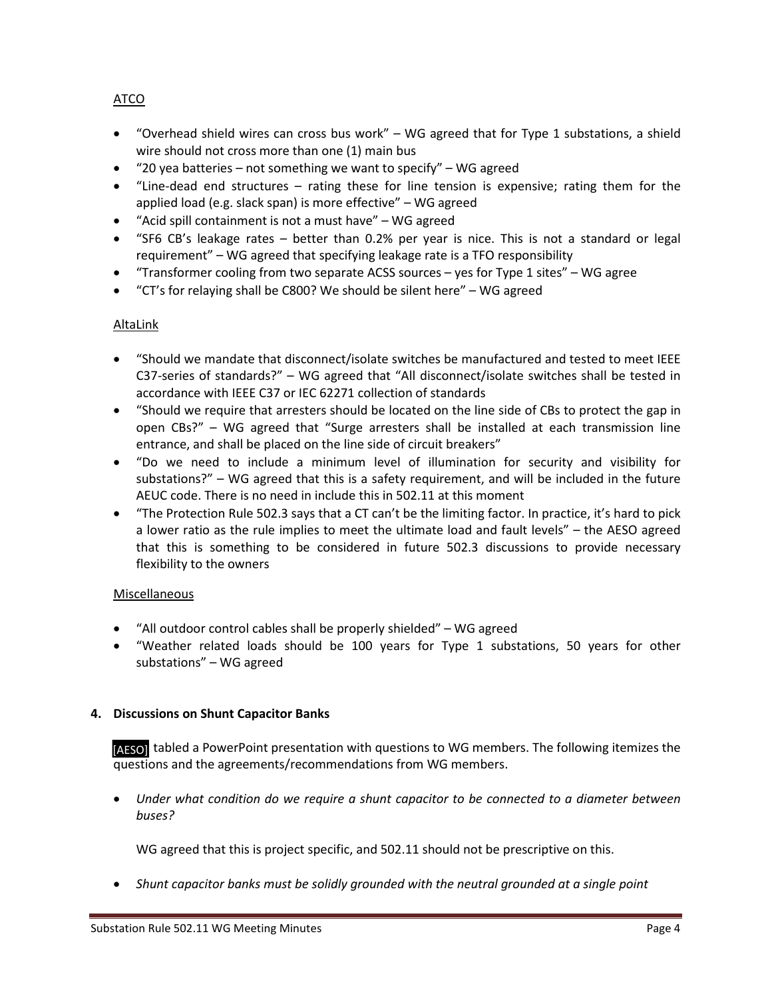# ATCO

- "Overhead shield wires can cross bus work" WG agreed that for Type 1 substations, a shield wire should not cross more than one (1) main bus
- $"20$  yea batteries not something we want to specify" WG agreed
- "Line-dead end structures rating these for line tension is expensive; rating them for the applied load (e.g. slack span) is more effective" – WG agreed
- "Acid spill containment is not a must have" WG agreed
- "SF6 CB's leakage rates better than 0.2% per year is nice. This is not a standard or legal requirement" – WG agreed that specifying leakage rate is a TFO responsibility
- "Transformer cooling from two separate ACSS sources yes for Type 1 sites" WG agree
- "CT's for relaying shall be C800? We should be silent here" WG agreed

### AltaLink

- "Should we mandate that disconnect/isolate switches be manufactured and tested to meet IEEE C37-series of standards?" – WG agreed that "All disconnect/isolate switches shall be tested in accordance with IEEE C37 or IEC 62271 collection of standards
- "Should we require that arresters should be located on the line side of CBs to protect the gap in open CBs?" – WG agreed that "Surge arresters shall be installed at each transmission line entrance, and shall be placed on the line side of circuit breakers"
- "Do we need to include a minimum level of illumination for security and visibility for substations?" – WG agreed that this is a safety requirement, and will be included in the future AEUC code. There is no need in include this in 502.11 at this moment
- "The Protection Rule 502.3 says that a CT can't be the limiting factor. In practice, it's hard to pick a lower ratio as the rule implies to meet the ultimate load and fault levels" – the AESO agreed that this is something to be considered in future 502.3 discussions to provide necessary flexibility to the owners

### **Miscellaneous**

- "All outdoor control cables shall be properly shielded" WG agreed
- "Weather related loads should be 100 years for Type 1 substations, 50 years for other substations" – WG agreed

### **4. Discussions on Shunt Capacitor Banks**

[AESO] tabled a PowerPoint presentation with questions to WG members. The following itemizes the questions and the agreements/recommendations from WG members.

• *Under what condition do we require a shunt capacitor to be connected to a diameter between buses?*

WG agreed that this is project specific, and 502.11 should not be prescriptive on this.

• *Shunt capacitor banks must be solidly grounded with the neutral grounded at a single point*